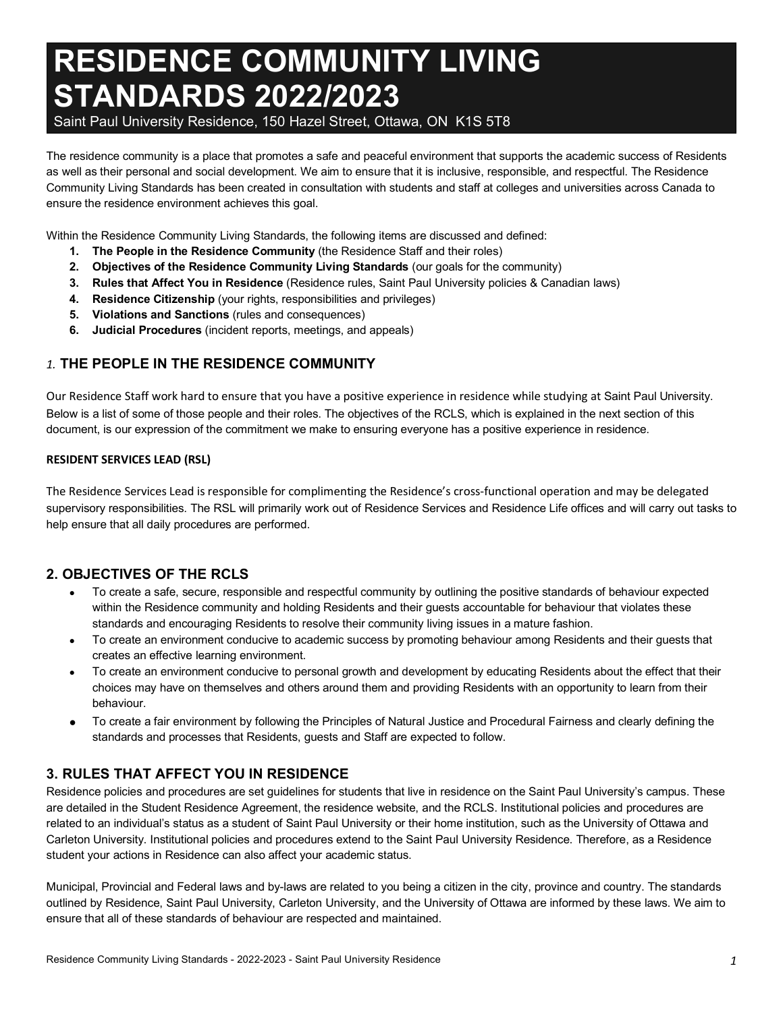# **RESIDENCE COMMUNITY LIVING STANDARDS 2022/2023**

Saint Paul University Residence, 150 Hazel Street, Ottawa, ON K1S 5T8

The residence community is a place that promotes a safe and peaceful environment that supports the academic success of Residents as well as their personal and social development. We aim to ensure that it is inclusive, responsible, and respectful. The Residence Community Living Standards has been created in consultation with students and staff at colleges and universities across Canada to ensure the residence environment achieves this goal.

Within the Residence Community Living Standards, the following items are discussed and defined:

- **1. The People in the Residence Community** (the Residence Staff and their roles)
- **2. Objectives of the Residence Community Living Standards** (our goals for the community)
- **3. Rules that Affect You in Residence** (Residence rules, Saint Paul University policies & Canadian laws)
- **4. Residence Citizenship** (your rights, responsibilities and privileges)
- **5. Violations and Sanctions** (rules and consequences)
- **6. Judicial Procedures** (incident reports, meetings, and appeals)

## *1.* **THE PEOPLE IN THE RESIDENCE COMMUNITY**

Our Residence Staff work hard to ensure that you have a positive experience in residence while studying at Saint Paul University. Below is a list of some of those people and their roles. The objectives of the RCLS, which is explained in the next section of this document, is our expression of the commitment we make to ensuring everyone has a positive experience in residence.

#### **RESIDENT SERVICES LEAD (RSL)**

The Residence Services Lead is responsible for complimenting the Residence's cross-functional operation and may be delegated supervisory responsibilities. The RSL will primarily work out of Residence Services and Residence Life offices and will carry out tasks to help ensure that all daily procedures are performed.

## **2. OBJECTIVES OF THE RCLS**

- To create a safe, secure, responsible and respectful community by outlining the positive standards of behaviour expected within the Residence community and holding Residents and their guests accountable for behaviour that violates these standards and encouraging Residents to resolve their community living issues in a mature fashion.
- To create an environment conducive to academic success by promoting behaviour among Residents and their guests that creates an effective learning environment.
- To create an environment conducive to personal growth and development by educating Residents about the effect that their choices may have on themselves and others around them and providing Residents with an opportunity to learn from their behaviour.
- To create a fair environment by following the Principles of Natural Justice and Procedural Fairness and clearly defining the standards and processes that Residents, guests and Staff are expected to follow.

## **3. RULES THAT AFFECT YOU IN RESIDENCE**

Residence policies and procedures are set guidelines for students that live in residence on the Saint Paul University's campus. These are detailed in the Student Residence Agreement, the residence website, and the RCLS. Institutional policies and procedures are related to an individual's status as a student of Saint Paul University or their home institution, such as the University of Ottawa and Carleton University. Institutional policies and procedures extend to the Saint Paul University Residence. Therefore, as a Residence student your actions in Residence can also affect your academic status.

Municipal, Provincial and Federal laws and by-laws are related to you being a citizen in the city, province and country. The standards outlined by Residence, Saint Paul University, Carleton University, and the University of Ottawa are informed by these laws. We aim to ensure that all of these standards of behaviour are respected and maintained.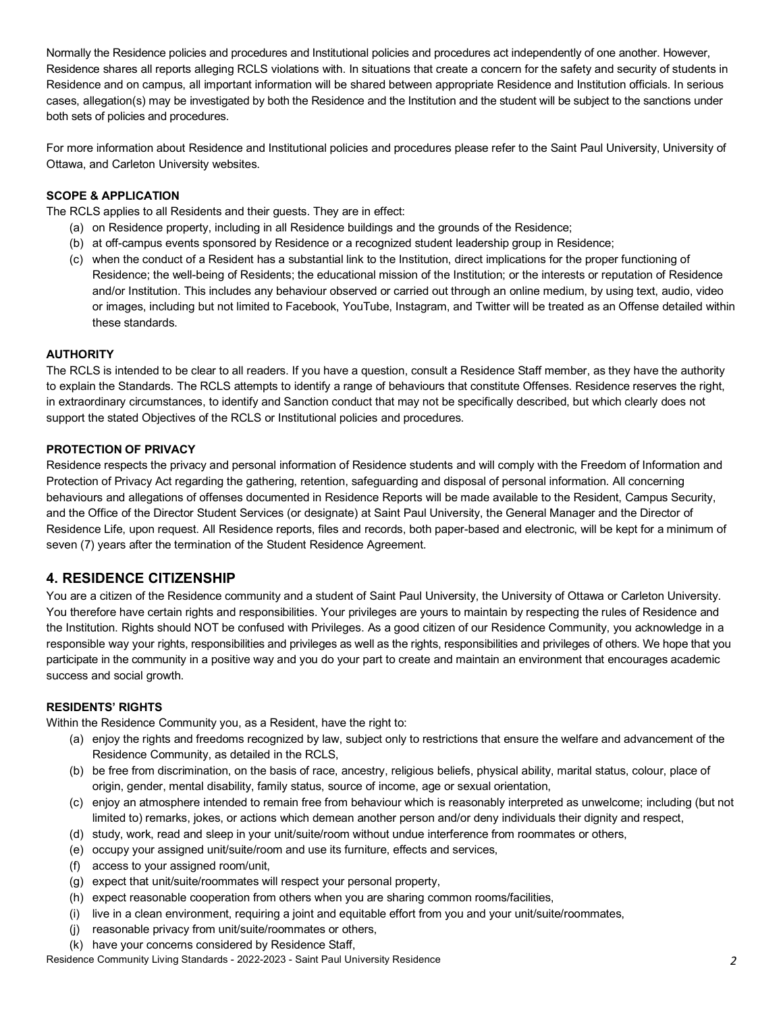Normally the Residence policies and procedures and Institutional policies and procedures act independently of one another. However, Residence shares all reports alleging RCLS violations with. In situations that create a concern for the safety and security of students in Residence and on campus, all important information will be shared between appropriate Residence and Institution officials. In serious cases, allegation(s) may be investigated by both the Residence and the Institution and the student will be subject to the sanctions under both sets of policies and procedures.

For more information about Residence and Institutional policies and procedures please refer to the Saint Paul University, University of Ottawa, and Carleton University websites.

#### **SCOPE & APPLICATION**

The RCLS applies to all Residents and their guests. They are in effect:

- (a) on Residence property, including in all Residence buildings and the grounds of the Residence;
- (b) at off-campus events sponsored by Residence or a recognized student leadership group in Residence;
- (c) when the conduct of a Resident has a substantial link to the Institution, direct implications for the proper functioning of Residence; the well-being of Residents; the educational mission of the Institution; or the interests or reputation of Residence and/or Institution. This includes any behaviour observed or carried out through an online medium, by using text, audio, video or images, including but not limited to Facebook, YouTube, Instagram, and Twitter will be treated as an Offense detailed within these standards.

#### **AUTHORITY**

The RCLS is intended to be clear to all readers. If you have a question, consult a Residence Staff member, as they have the authority to explain the Standards. The RCLS attempts to identify a range of behaviours that constitute Offenses. Residence reserves the right, in extraordinary circumstances, to identify and Sanction conduct that may not be specifically described, but which clearly does not support the stated Objectives of the RCLS or Institutional policies and procedures.

#### **PROTECTION OF PRIVACY**

Residence respects the privacy and personal information of Residence students and will comply with the Freedom of Information and Protection of Privacy Act regarding the gathering, retention, safeguarding and disposal of personal information. All concerning behaviours and allegations of offenses documented in Residence Reports will be made available to the Resident, Campus Security, and the Office of the Director Student Services (or designate) at Saint Paul University, the General Manager and the Director of Residence Life, upon request. All Residence reports, files and records, both paper-based and electronic, will be kept for a minimum of seven (7) years after the termination of the Student Residence Agreement.

## **4. RESIDENCE CITIZENSHIP**

You are a citizen of the Residence community and a student of Saint Paul University, the University of Ottawa or Carleton University. You therefore have certain rights and responsibilities. Your privileges are yours to maintain by respecting the rules of Residence and the Institution. Rights should NOT be confused with Privileges. As a good citizen of our Residence Community, you acknowledge in a responsible way your rights, responsibilities and privileges as well as the rights, responsibilities and privileges of others. We hope that you participate in the community in a positive way and you do your part to create and maintain an environment that encourages academic success and social growth.

#### **RESIDENTS' RIGHTS**

Within the Residence Community you, as a Resident, have the right to:

- (a) enjoy the rights and freedoms recognized by law, subject only to restrictions that ensure the welfare and advancement of the Residence Community, as detailed in the RCLS,
- (b) be free from discrimination, on the basis of race, ancestry, religious beliefs, physical ability, marital status, colour, place of origin, gender, mental disability, family status, source of income, age or sexual orientation,
- (c) enjoy an atmosphere intended to remain free from behaviour which is reasonably interpreted as unwelcome; including (but not limited to) remarks, jokes, or actions which demean another person and/or deny individuals their dignity and respect,
- (d) study, work, read and sleep in your unit/suite/room without undue interference from roommates or others,
- (e) occupy your assigned unit/suite/room and use its furniture, effects and services,
- (f) access to your assigned room/unit,
- (g) expect that unit/suite/roommates will respect your personal property,
- (h) expect reasonable cooperation from others when you are sharing common rooms/facilities,
- (i) live in a clean environment, requiring a joint and equitable effort from you and your unit/suite/roommates,
- (j) reasonable privacy from unit/suite/roommates or others,
- (k) have your concerns considered by Residence Staff,

Residence Community Living Standards - 2022-2023 - Saint Paul University Residence *2*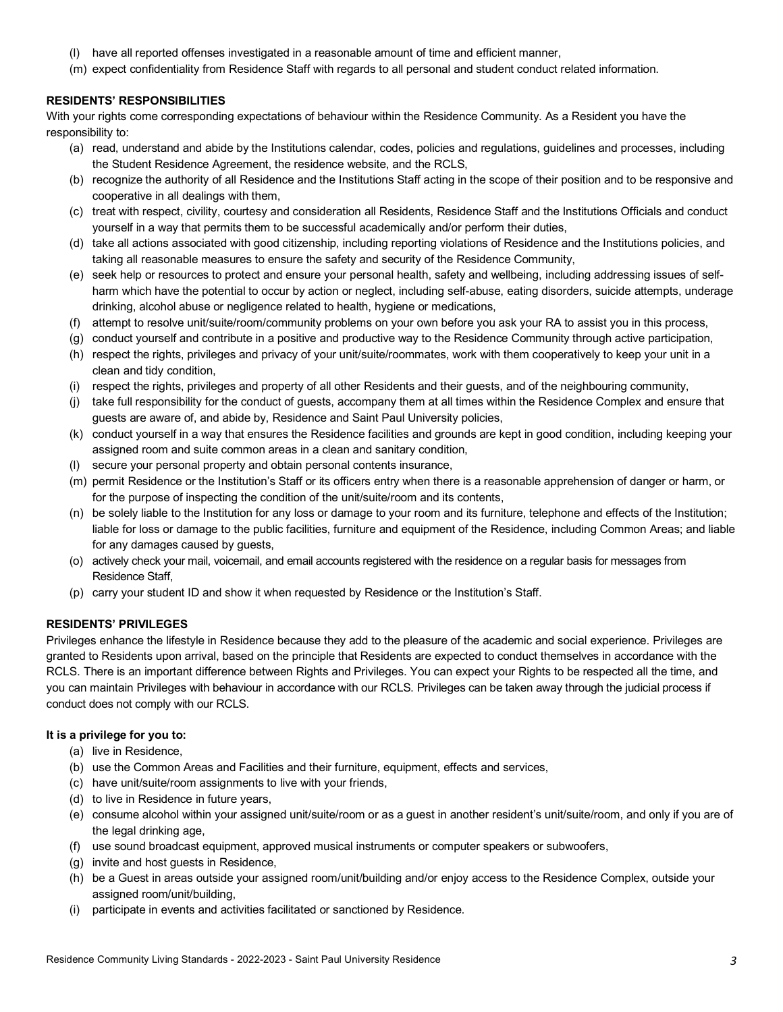- (l) have all reported offenses investigated in a reasonable amount of time and efficient manner,
- (m) expect confidentiality from Residence Staff with regards to all personal and student conduct related information.

#### **RESIDENTS' RESPONSIBILITIES**

With your rights come corresponding expectations of behaviour within the Residence Community. As a Resident you have the responsibility to:

- (a) read, understand and abide by the Institutions calendar, codes, policies and regulations, guidelines and processes, including the Student Residence Agreement, the residence website, and the RCLS,
- (b) recognize the authority of all Residence and the Institutions Staff acting in the scope of their position and to be responsive and cooperative in all dealings with them,
- (c) treat with respect, civility, courtesy and consideration all Residents, Residence Staff and the Institutions Officials and conduct yourself in a way that permits them to be successful academically and/or perform their duties,
- (d) take all actions associated with good citizenship, including reporting violations of Residence and the Institutions policies, and taking all reasonable measures to ensure the safety and security of the Residence Community,
- (e) seek help or resources to protect and ensure your personal health, safety and wellbeing, including addressing issues of selfharm which have the potential to occur by action or neglect, including self-abuse, eating disorders, suicide attempts, underage drinking, alcohol abuse or negligence related to health, hygiene or medications,
- (f) attempt to resolve unit/suite/room/community problems on your own before you ask your RA to assist you in this process,
- (g) conduct yourself and contribute in a positive and productive way to the Residence Community through active participation,
- (h) respect the rights, privileges and privacy of your unit/suite/roommates, work with them cooperatively to keep your unit in a clean and tidy condition,
- (i) respect the rights, privileges and property of all other Residents and their guests, and of the neighbouring community,
- (j) take full responsibility for the conduct of guests, accompany them at all times within the Residence Complex and ensure that guests are aware of, and abide by, Residence and Saint Paul University policies,
- (k) conduct yourself in a way that ensures the Residence facilities and grounds are kept in good condition, including keeping your assigned room and suite common areas in a clean and sanitary condition,
- (l) secure your personal property and obtain personal contents insurance,
- (m) permit Residence or the Institution's Staff or its officers entry when there is a reasonable apprehension of danger or harm, or for the purpose of inspecting the condition of the unit/suite/room and its contents,
- (n) be solely liable to the Institution for any loss or damage to your room and its furniture, telephone and effects of the Institution; liable for loss or damage to the public facilities, furniture and equipment of the Residence, including Common Areas; and liable for any damages caused by guests,
- (o) actively check your mail, voicemail, and email accounts registered with the residence on a regular basis for messages from Residence Staff,
- (p) carry your student ID and show it when requested by Residence or the Institution's Staff.

#### **RESIDENTS' PRIVILEGES**

Privileges enhance the lifestyle in Residence because they add to the pleasure of the academic and social experience. Privileges are granted to Residents upon arrival, based on the principle that Residents are expected to conduct themselves in accordance with the RCLS. There is an important difference between Rights and Privileges. You can expect your Rights to be respected all the time, and you can maintain Privileges with behaviour in accordance with our RCLS. Privileges can be taken away through the judicial process if conduct does not comply with our RCLS.

#### **It is a privilege for you to:**

- (a) live in Residence,
- (b) use the Common Areas and Facilities and their furniture, equipment, effects and services,
- (c) have unit/suite/room assignments to live with your friends,
- (d) to live in Residence in future years,
- (e) consume alcohol within your assigned unit/suite/room or as a guest in another resident's unit/suite/room, and only if you are of the legal drinking age,
- (f) use sound broadcast equipment, approved musical instruments or computer speakers or subwoofers,
- (g) invite and host guests in Residence,
- (h) be a Guest in areas outside your assigned room/unit/building and/or enjoy access to the Residence Complex, outside your assigned room/unit/building,
- (i) participate in events and activities facilitated or sanctioned by Residence.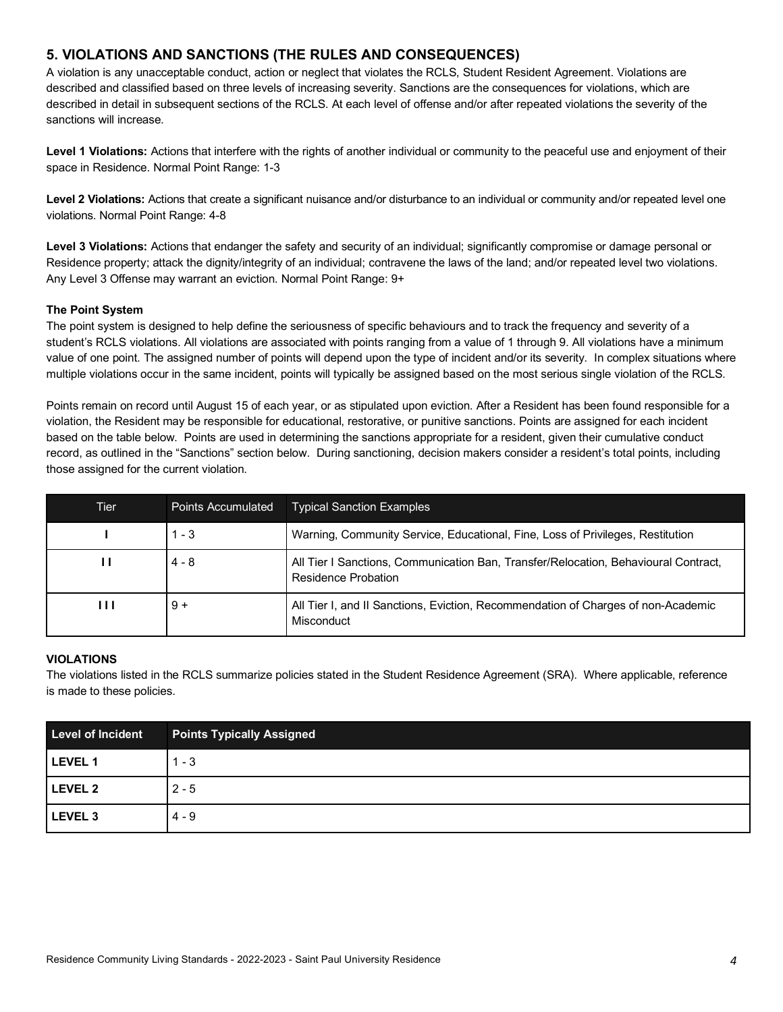## **5. VIOLATIONS AND SANCTIONS (THE RULES AND CONSEQUENCES)**

A violation is any unacceptable conduct, action or neglect that violates the RCLS, Student Resident Agreement. Violations are described and classified based on three levels of increasing severity. Sanctions are the consequences for violations, which are described in detail in subsequent sections of the RCLS. At each level of offense and/or after repeated violations the severity of the sanctions will increase.

**Level 1 Violations:** Actions that interfere with the rights of another individual or community to the peaceful use and enjoyment of their space in Residence. Normal Point Range: 1-3

Level 2 Violations: Actions that create a significant nuisance and/or disturbance to an individual or community and/or repeated level one violations. Normal Point Range: 4-8

**Level 3 Violations:** Actions that endanger the safety and security of an individual; significantly compromise or damage personal or Residence property; attack the dignity/integrity of an individual; contravene the laws of the land; and/or repeated level two violations. Any Level 3 Offense may warrant an eviction. Normal Point Range: 9+

#### **The Point System**

The point system is designed to help define the seriousness of specific behaviours and to track the frequency and severity of a student's RCLS violations. All violations are associated with points ranging from a value of 1 through 9. All violations have a minimum value of one point. The assigned number of points will depend upon the type of incident and/or its severity. In complex situations where multiple violations occur in the same incident, points will typically be assigned based on the most serious single violation of the RCLS.

Points remain on record until August 15 of each year, or as stipulated upon eviction. After a Resident has been found responsible for a violation, the Resident may be responsible for educational, restorative, or punitive sanctions. Points are assigned for each incident based on the table below. Points are used in determining the sanctions appropriate for a resident, given their cumulative conduct record, as outlined in the "Sanctions" section below. During sanctioning, decision makers consider a resident's total points, including those assigned for the current violation.

| Tier | <b>Points Accumulated</b> | <b>Typical Sanction Examples</b>                                                                           |
|------|---------------------------|------------------------------------------------------------------------------------------------------------|
|      | $1 - 3$                   | Warning, Community Service, Educational, Fine, Loss of Privileges, Restitution                             |
| ш    | $4 - 8$                   | All Tier I Sanctions, Communication Ban, Transfer/Relocation, Behavioural Contract,<br>Residence Probation |
| Ш    | $9 +$                     | All Tier I, and II Sanctions, Eviction, Recommendation of Charges of non-Academic<br>Misconduct            |

#### **VIOLATIONS**

The violations listed in the RCLS summarize policies stated in the Student Residence Agreement (SRA). Where applicable, reference is made to these policies.

| Level of Incident | <b>Points Typically Assigned</b> |
|-------------------|----------------------------------|
| <b>LEVEL 1</b>    | $1 - 3$                          |
| <b>LEVEL 2</b>    | $2 - 5$                          |
| LEVEL 3           | 4 - 9                            |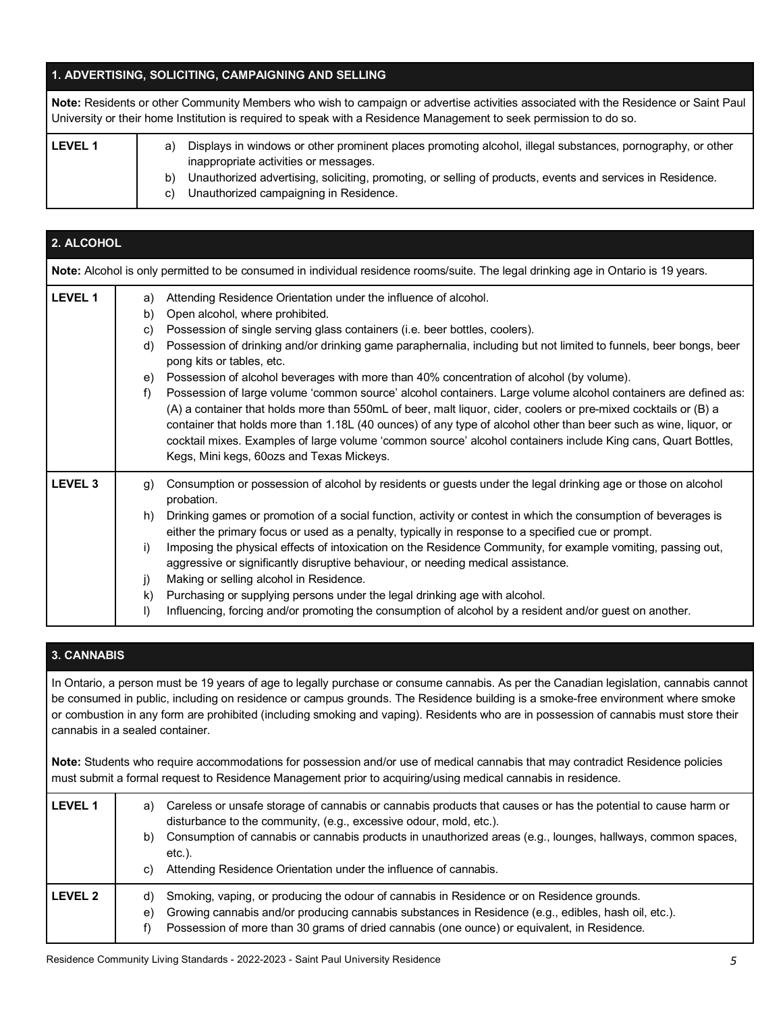## **1. ADVERTISING, SOLICITING, CAMPAIGNING AND SELLING**

| Note: Residents or other Community Members who wish to campaign or advertise activities associated with the Residence or Saint Paul<br>University or their home Institution is required to speak with a Residence Management to seek permission to do so. |                |                                                                                                                                                                                                                                                                                                             |
|-----------------------------------------------------------------------------------------------------------------------------------------------------------------------------------------------------------------------------------------------------------|----------------|-------------------------------------------------------------------------------------------------------------------------------------------------------------------------------------------------------------------------------------------------------------------------------------------------------------|
| <b>LEVEL 1</b>                                                                                                                                                                                                                                            | a)<br>b)<br>C) | Displays in windows or other prominent places promoting alcohol, illegal substances, pornography, or other<br>inappropriate activities or messages.<br>Unauthorized advertising, soliciting, promoting, or selling of products, events and services in Residence.<br>Unauthorized campaigning in Residence. |

| 2. ALCOHOL     |                                                                                                                                    |                                                                                                                                                                                                                                                                                                                                                                                                                                                                                                                     |  |
|----------------|------------------------------------------------------------------------------------------------------------------------------------|---------------------------------------------------------------------------------------------------------------------------------------------------------------------------------------------------------------------------------------------------------------------------------------------------------------------------------------------------------------------------------------------------------------------------------------------------------------------------------------------------------------------|--|
|                | Note: Alcohol is only permitted to be consumed in individual residence rooms/suite. The legal drinking age in Ontario is 19 years. |                                                                                                                                                                                                                                                                                                                                                                                                                                                                                                                     |  |
| LEVEL 1        | a)                                                                                                                                 | Attending Residence Orientation under the influence of alcohol.                                                                                                                                                                                                                                                                                                                                                                                                                                                     |  |
|                | b)                                                                                                                                 | Open alcohol, where prohibited.                                                                                                                                                                                                                                                                                                                                                                                                                                                                                     |  |
|                | C)                                                                                                                                 | Possession of single serving glass containers (i.e. beer bottles, coolers).                                                                                                                                                                                                                                                                                                                                                                                                                                         |  |
|                | d)                                                                                                                                 | Possession of drinking and/or drinking game paraphernalia, including but not limited to funnels, beer bongs, beer<br>pong kits or tables, etc.                                                                                                                                                                                                                                                                                                                                                                      |  |
|                | e)                                                                                                                                 | Possession of alcohol beverages with more than 40% concentration of alcohol (by volume).                                                                                                                                                                                                                                                                                                                                                                                                                            |  |
|                | f)                                                                                                                                 | Possession of large volume 'common source' alcohol containers. Large volume alcohol containers are defined as:<br>(A) a container that holds more than 550mL of beer, malt liquor, cider, coolers or pre-mixed cocktails or (B) a<br>container that holds more than 1.18L (40 ounces) of any type of alcohol other than beer such as wine, liquor, or<br>cocktail mixes. Examples of large volume 'common source' alcohol containers include King cans, Quart Bottles,<br>Kegs, Mini kegs, 60ozs and Texas Mickeys. |  |
| <b>LEVEL 3</b> | g)                                                                                                                                 | Consumption or possession of alcohol by residents or guests under the legal drinking age or those on alcohol<br>probation.                                                                                                                                                                                                                                                                                                                                                                                          |  |
|                | h)                                                                                                                                 | Drinking games or promotion of a social function, activity or contest in which the consumption of beverages is<br>either the primary focus or used as a penalty, typically in response to a specified cue or prompt.                                                                                                                                                                                                                                                                                                |  |
|                | i)                                                                                                                                 | Imposing the physical effects of intoxication on the Residence Community, for example vomiting, passing out,<br>aggressive or significantly disruptive behaviour, or needing medical assistance.                                                                                                                                                                                                                                                                                                                    |  |
|                | j)                                                                                                                                 | Making or selling alcohol in Residence.                                                                                                                                                                                                                                                                                                                                                                                                                                                                             |  |
|                | k)                                                                                                                                 | Purchasing or supplying persons under the legal drinking age with alcohol.                                                                                                                                                                                                                                                                                                                                                                                                                                          |  |
|                | I)                                                                                                                                 | Influencing, forcing and/or promoting the consumption of alcohol by a resident and/or guest on another.                                                                                                                                                                                                                                                                                                                                                                                                             |  |

## **3. CANNABIS**

In Ontario, a person must be 19 years of age to legally purchase or consume cannabis. As per the Canadian legislation, cannabis cannot be consumed in public, including on residence or campus grounds. The Residence building is a smoke-free environment where smoke or combustion in any form are prohibited (including smoking and vaping). Residents who are in possession of cannabis must store their cannabis in a sealed container.

**Note:** Students who require accommodations for possession and/or use of medical cannabis that may contradict Residence policies must submit a formal request to Residence Management prior to acquiring/using medical cannabis in residence.

| LEVEL 1 | a)<br>b)<br>C) | Careless or unsafe storage of cannabis or cannabis products that causes or has the potential to cause harm or<br>disturbance to the community, (e.g., excessive odour, mold, etc.).<br>Consumption of cannabis or cannabis products in unauthorized areas (e.g., lounges, hallways, common spaces,<br>etc.).<br>Attending Residence Orientation under the influence of cannabis. |
|---------|----------------|----------------------------------------------------------------------------------------------------------------------------------------------------------------------------------------------------------------------------------------------------------------------------------------------------------------------------------------------------------------------------------|
| LEVEL 2 | d)<br>e)<br>t) | Smoking, vaping, or producing the odour of cannabis in Residence or on Residence grounds.<br>Growing cannabis and/or producing cannabis substances in Residence (e.g., edibles, hash oil, etc.).<br>Possession of more than 30 grams of dried cannabis (one ounce) or equivalent, in Residence.                                                                                  |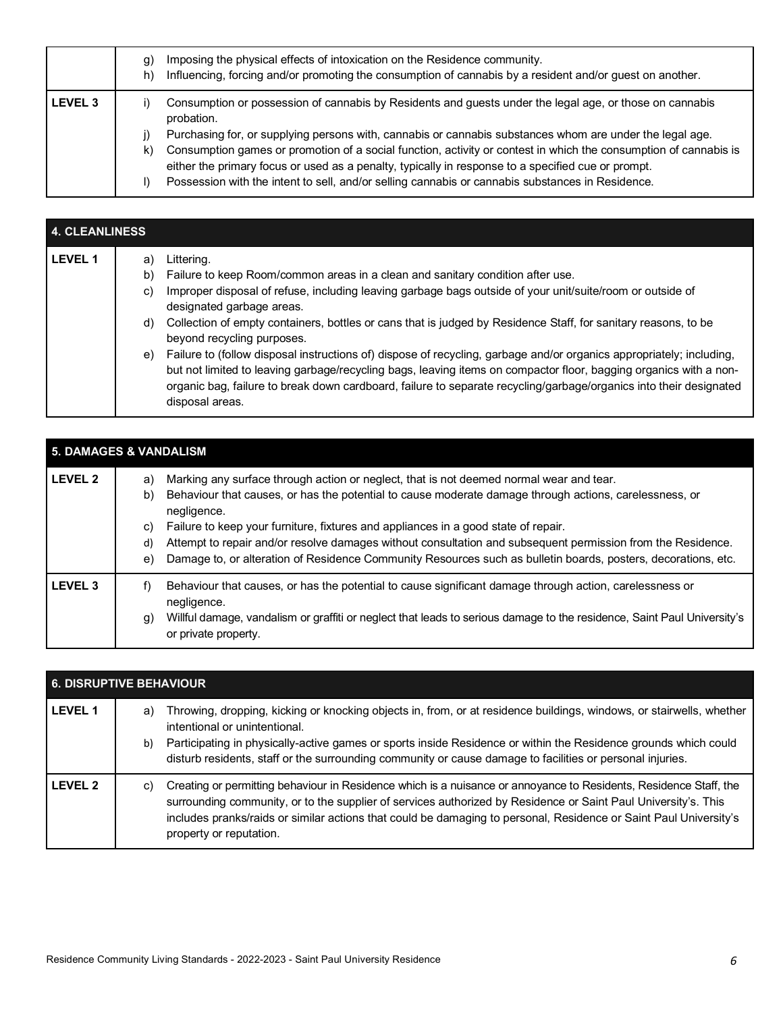|         | g)<br>h) | Imposing the physical effects of intoxication on the Residence community.<br>Influencing, forcing and/or promoting the consumption of cannabis by a resident and/or guest on another.                                  |
|---------|----------|------------------------------------------------------------------------------------------------------------------------------------------------------------------------------------------------------------------------|
| LEVEL 3 |          | Consumption or possession of cannabis by Residents and guests under the legal age, or those on cannabis<br>probation.                                                                                                  |
|         |          | Purchasing for, or supplying persons with, cannabis or cannabis substances whom are under the legal age.                                                                                                               |
|         | k)       | Consumption games or promotion of a social function, activity or contest in which the consumption of cannabis is<br>either the primary focus or used as a penalty, typically in response to a specified cue or prompt. |
|         |          | Possession with the intent to sell, and/or selling cannabis or cannabis substances in Residence.                                                                                                                       |

| <b>4. CLEANLINESS</b> |    |                                                                                                                                                                                                                                                                                                                                                                                    |
|-----------------------|----|------------------------------------------------------------------------------------------------------------------------------------------------------------------------------------------------------------------------------------------------------------------------------------------------------------------------------------------------------------------------------------|
| <b>LEVEL 1</b>        | a) | Littering.                                                                                                                                                                                                                                                                                                                                                                         |
|                       | b) | Failure to keep Room/common areas in a clean and sanitary condition after use.                                                                                                                                                                                                                                                                                                     |
|                       | C) | Improper disposal of refuse, including leaving garbage bags outside of your unit/suite/room or outside of<br>designated garbage areas.                                                                                                                                                                                                                                             |
|                       | d) | Collection of empty containers, bottles or cans that is judged by Residence Staff, for sanitary reasons, to be<br>beyond recycling purposes.                                                                                                                                                                                                                                       |
|                       | e) | Failure to (follow disposal instructions of) dispose of recycling, garbage and/or organics appropriately; including,<br>but not limited to leaving garbage/recycling bags, leaving items on compactor floor, bagging organics with a non-<br>organic bag, failure to break down cardboard, failure to separate recycling/garbage/organics into their designated<br>disposal areas. |

| <b>5. DAMAGES &amp; VANDALISM</b> |                                                                                                                                                                                                                                                                                                                                                                                                                                                                                                                                                                      |  |
|-----------------------------------|----------------------------------------------------------------------------------------------------------------------------------------------------------------------------------------------------------------------------------------------------------------------------------------------------------------------------------------------------------------------------------------------------------------------------------------------------------------------------------------------------------------------------------------------------------------------|--|
| <b>LEVEL 2</b>                    | Marking any surface through action or neglect, that is not deemed normal wear and tear.<br>a)<br>Behaviour that causes, or has the potential to cause moderate damage through actions, carelessness, or<br>b)<br>negligence.<br>Failure to keep your furniture, fixtures and appliances in a good state of repair.<br>C)<br>Attempt to repair and/or resolve damages without consultation and subsequent permission from the Residence.<br>d)<br>Damage to, or alteration of Residence Community Resources such as bulletin boards, posters, decorations, etc.<br>e) |  |
| <b>LEVEL 3</b>                    | Behaviour that causes, or has the potential to cause significant damage through action, carelessness or<br>t)<br>negligence.<br>Willful damage, vandalism or graffiti or neglect that leads to serious damage to the residence, Saint Paul University's<br>g)<br>or private property.                                                                                                                                                                                                                                                                                |  |

|                | <b>6. DISRUPTIVE BEHAVIOUR</b> |                                                                                                                                                                                                                                                                                                                                                                                       |  |
|----------------|--------------------------------|---------------------------------------------------------------------------------------------------------------------------------------------------------------------------------------------------------------------------------------------------------------------------------------------------------------------------------------------------------------------------------------|--|
| <b>LEVEL 1</b> | a)<br>b)                       | Throwing, dropping, kicking or knocking objects in, from, or at residence buildings, windows, or stairwells, whether<br>intentional or unintentional.<br>Participating in physically-active games or sports inside Residence or within the Residence grounds which could<br>disturb residents, staff or the surrounding community or cause damage to facilities or personal injuries. |  |
| <b>IFVEL 2</b> | C)                             | Creating or permitting behaviour in Residence which is a nuisance or annoyance to Residents, Residence Staff, the<br>surrounding community, or to the supplier of services authorized by Residence or Saint Paul University's. This<br>includes pranks/raids or similar actions that could be damaging to personal, Residence or Saint Paul University's<br>property or reputation.   |  |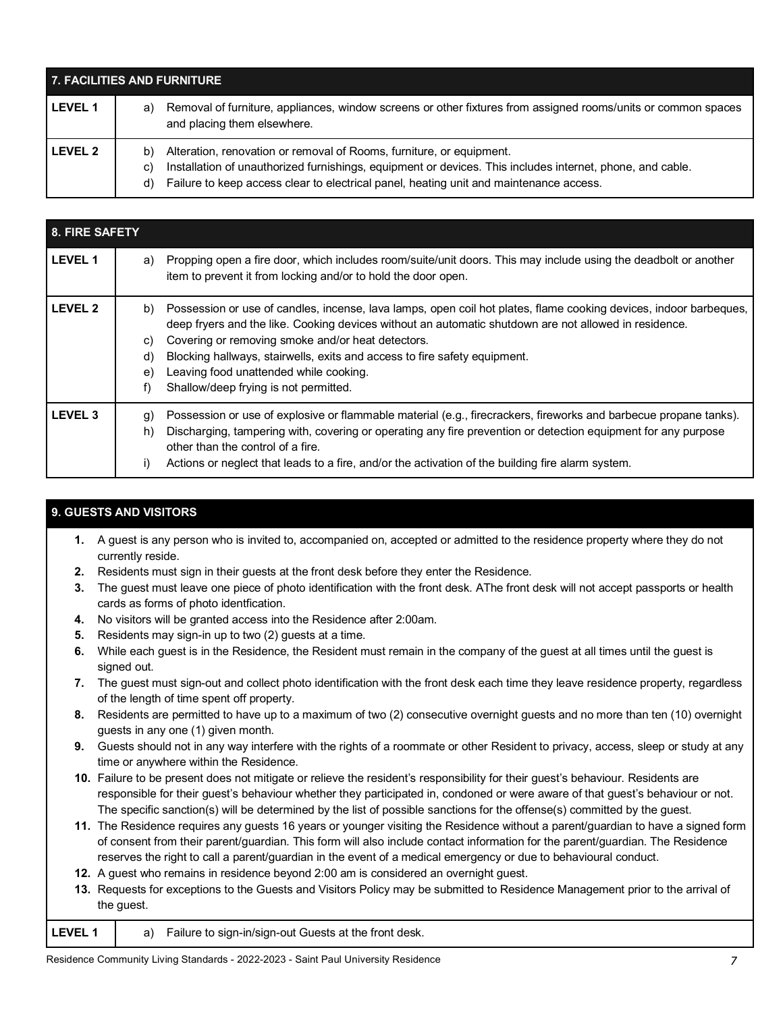| 7. FACILITIES AND FURNITURE |                                                                                                                                                                                                                                                                                               |  |
|-----------------------------|-----------------------------------------------------------------------------------------------------------------------------------------------------------------------------------------------------------------------------------------------------------------------------------------------|--|
| <b>LEVEL 1</b>              | Removal of furniture, appliances, window screens or other fixtures from assigned rooms/units or common spaces<br>a)<br>and placing them elsewhere.                                                                                                                                            |  |
| <b>LEVEL 2</b>              | Alteration, renovation or removal of Rooms, furniture, or equipment.<br>b)<br>Installation of unauthorized furnishings, equipment or devices. This includes internet, phone, and cable.<br>C)<br>Failure to keep access clear to electrical panel, heating unit and maintenance access.<br>d) |  |

| 8. FIRE SAFETY |                            |                                                                                                                                                                                                                                                                                                                                                                                                                                                 |  |  |
|----------------|----------------------------|-------------------------------------------------------------------------------------------------------------------------------------------------------------------------------------------------------------------------------------------------------------------------------------------------------------------------------------------------------------------------------------------------------------------------------------------------|--|--|
| <b>LEVEL 1</b> | a)                         | Propping open a fire door, which includes room/suite/unit doors. This may include using the deadbolt or another<br>item to prevent it from locking and/or to hold the door open.                                                                                                                                                                                                                                                                |  |  |
| <b>LEVEL 2</b> | b)<br>C)<br>d)<br>e)<br>f) | Possession or use of candles, incense, lava lamps, open coil hot plates, flame cooking devices, indoor barbeques,<br>deep fryers and the like. Cooking devices without an automatic shutdown are not allowed in residence.<br>Covering or removing smoke and/or heat detectors.<br>Blocking hallways, stairwells, exits and access to fire safety equipment.<br>Leaving food unattended while cooking.<br>Shallow/deep frying is not permitted. |  |  |
| <b>LEVEL 3</b> | g)<br>h)<br>i)             | Possession or use of explosive or flammable material (e.g., firecrackers, fireworks and barbecue propane tanks).<br>Discharging, tampering with, covering or operating any fire prevention or detection equipment for any purpose<br>other than the control of a fire.<br>Actions or neglect that leads to a fire, and/or the activation of the building fire alarm system.                                                                     |  |  |

## **9. GUESTS AND VISITORS**

- **1.** A guest is any person who is invited to, accompanied on, accepted or admitted to the residence property where they do not currently reside.
- **2.** Residents must sign in their guests at the front desk before they enter the Residence.
- **3.** The guest must leave one piece of photo identification with the front desk. AThe front desk will not accept passports or health cards as forms of photo identfication.
- **4.** No visitors will be granted access into the Residence after 2:00am.
- **5.** Residents may sign-in up to two (2) guests at a time.
- **6.** While each guest is in the Residence, the Resident must remain in the company of the guest at all times until the guest is signed out.
- **7.** The guest must sign-out and collect photo identification with the front desk each time they leave residence property, regardless of the length of time spent off property.
- **8.** Residents are permitted to have up to a maximum of two (2) consecutive overnight guests and no more than ten (10) overnight guests in any one (1) given month.
- **9.** Guests should not in any way interfere with the rights of a roommate or other Resident to privacy, access, sleep or study at any time or anywhere within the Residence.
- **10.** Failure to be present does not mitigate or relieve the resident's responsibility for their guest's behaviour. Residents are responsible for their guest's behaviour whether they participated in, condoned or were aware of that guest's behaviour or not. The specific sanction(s) will be determined by the list of possible sanctions for the offense(s) committed by the guest.
- **11.** The Residence requires any guests 16 years or younger visiting the Residence without a parent/guardian to have a signed form of consent from their parent/guardian. This form will also include contact information for the parent/guardian. The Residence reserves the right to call a parent/guardian in the event of a medical emergency or due to behavioural conduct.
- **12.** A guest who remains in residence beyond 2:00 am is considered an overnight guest.
- **13.** Requests for exceptions to the Guests and Visitors Policy may be submitted to Residence Management prior to the arrival of the guest.

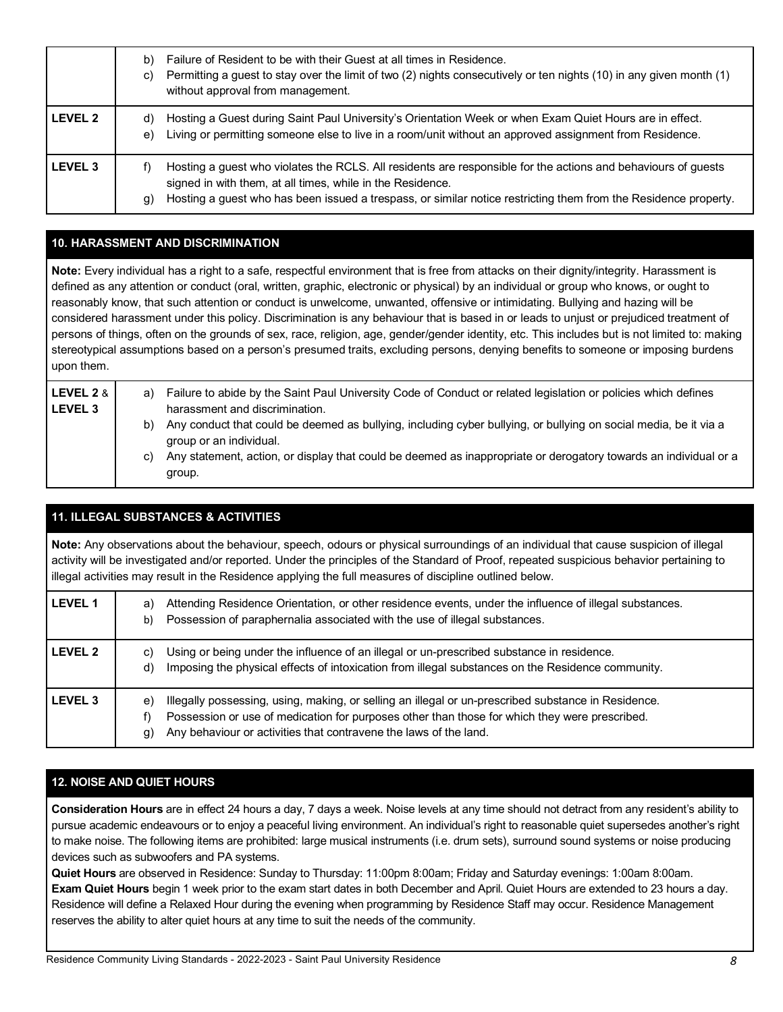|                | Failure of Resident to be with their Guest at all times in Residence.<br>b)<br>Permitting a guest to stay over the limit of two (2) nights consecutively or ten nights (10) in any given month (1)<br>C)<br>without approval from management.                                                              |
|----------------|------------------------------------------------------------------------------------------------------------------------------------------------------------------------------------------------------------------------------------------------------------------------------------------------------------|
| <b>LEVEL 2</b> | Hosting a Guest during Saint Paul University's Orientation Week or when Exam Quiet Hours are in effect.<br>d)<br>Living or permitting someone else to live in a room/unit without an approved assignment from Residence.<br>e)                                                                             |
| <b>LEVEL 3</b> | Hosting a guest who violates the RCLS. All residents are responsible for the actions and behaviours of guests<br>f)<br>signed in with them, at all times, while in the Residence.<br>Hosting a guest who has been issued a trespass, or similar notice restricting them from the Residence property.<br>g) |

## **10. HARASSMENT AND DISCRIMINATION**

**Note:** Every individual has a right to a safe, respectful environment that is free from attacks on their dignity/integrity. Harassment is defined as any attention or conduct (oral, written, graphic, electronic or physical) by an individual or group who knows, or ought to reasonably know, that such attention or conduct is unwelcome, unwanted, offensive or intimidating. Bullying and hazing will be considered harassment under this policy. Discrimination is any behaviour that is based in or leads to unjust or prejudiced treatment of persons of things, often on the grounds of sex, race, religion, age, gender/gender identity, etc. This includes but is not limited to: making stereotypical assumptions based on a person's presumed traits, excluding persons, denying benefits to someone or imposing burdens upon them.

| LEVEL 2 &<br><b>LEVEL 3</b> | a) | Failure to abide by the Saint Paul University Code of Conduct or related legislation or policies which defines<br>harassment and discrimination. |
|-----------------------------|----|--------------------------------------------------------------------------------------------------------------------------------------------------|
|                             | b) | Any conduct that could be deemed as bullying, including cyber bullying, or bullying on social media, be it via a<br>group or an individual.      |
|                             | C) | Any statement, action, or display that could be deemed as inappropriate or derogatory towards an individual or a<br>group.                       |

## **11. ILLEGAL SUBSTANCES & ACTIVITIES**

**Note:** Any observations about the behaviour, speech, odours or physical surroundings of an individual that cause suspicion of illegal activity will be investigated and/or reported. Under the principles of the Standard of Proof, repeated suspicious behavior pertaining to illegal activities may result in the Residence applying the full measures of discipline outlined below.

| <b>LEVEL 1</b> | Attending Residence Orientation, or other residence events, under the influence of illegal substances.<br>a)<br>Possession of paraphernalia associated with the use of illegal substances.<br>b)                                                                                      |
|----------------|---------------------------------------------------------------------------------------------------------------------------------------------------------------------------------------------------------------------------------------------------------------------------------------|
| <b>LEVEL 2</b> | Using or being under the influence of an illegal or un-prescribed substance in residence.<br>C)<br>Imposing the physical effects of intoxication from illegal substances on the Residence community.<br>d)                                                                            |
| <b>LEVEL 3</b> | Illegally possessing, using, making, or selling an illegal or un-prescribed substance in Residence.<br>e)<br>Possession or use of medication for purposes other than those for which they were prescribed.<br>Any behaviour or activities that contravene the laws of the land.<br>g) |

## **12. NOISE AND QUIET HOURS**

**Consideration Hours** are in effect 24 hours a day, 7 days a week. Noise levels at any time should not detract from any resident's ability to pursue academic endeavours or to enjoy a peaceful living environment. An individual's right to reasonable quiet supersedes another's right to make noise. The following items are prohibited: large musical instruments (i.e. drum sets), surround sound systems or noise producing devices such as subwoofers and PA systems.

**Quiet Hours** are observed in Residence: Sunday to Thursday: 11:00pm 8:00am; Friday and Saturday evenings: 1:00am 8:00am. **Exam Quiet Hours** begin 1 week prior to the exam start dates in both December and April. Quiet Hours are extended to 23 hours a day. Residence will define a Relaxed Hour during the evening when programming by Residence Staff may occur. Residence Management reserves the ability to alter quiet hours at any time to suit the needs of the community.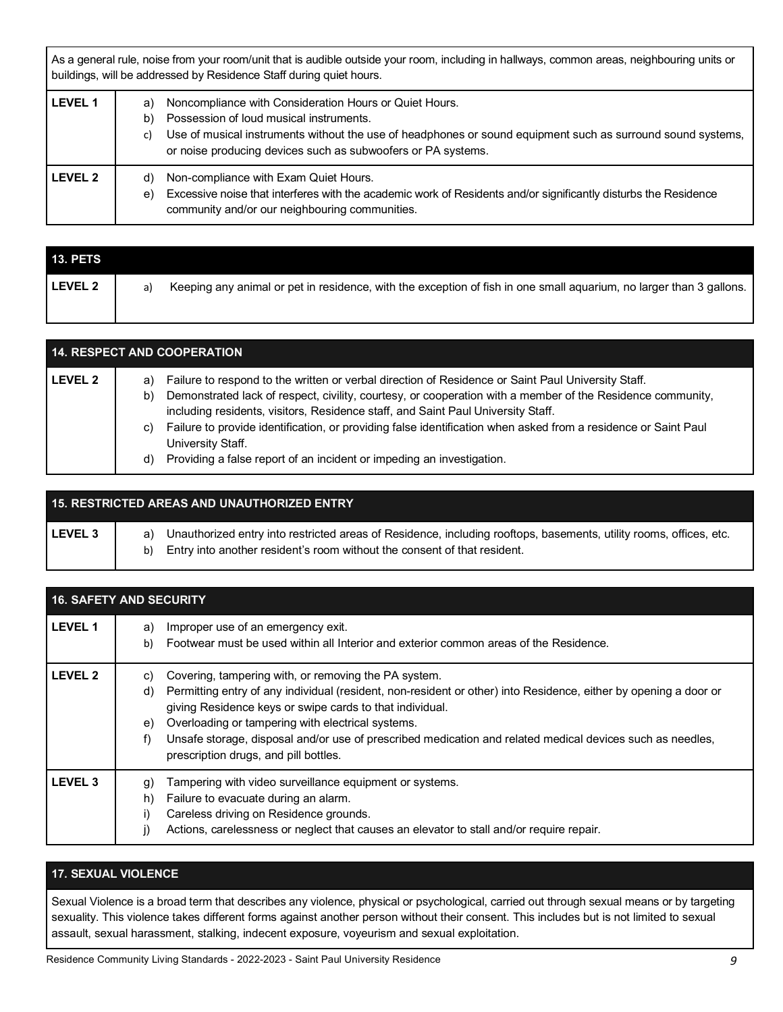As a general rule, noise from your room/unit that is audible outside your room, including in hallways, common areas, neighbouring units or buildings, will be addressed by Residence Staff during quiet hours.

| <b>LEVEL 1</b> | Noncompliance with Consideration Hours or Quiet Hours.<br>a)<br>Possession of loud musical instruments.<br>b)<br>Use of musical instruments without the use of headphones or sound equipment such as surround sound systems,<br>C)<br>or noise producing devices such as subwoofers or PA systems. |
|----------------|----------------------------------------------------------------------------------------------------------------------------------------------------------------------------------------------------------------------------------------------------------------------------------------------------|
| <b>LEVEL 2</b> | Non-compliance with Exam Quiet Hours.<br>d)<br>Excessive noise that interferes with the academic work of Residents and/or significantly disturbs the Residence<br>e)<br>community and/or our neighbouring communities.                                                                             |

| <b>13. PETS</b> |                                                                                                                           |
|-----------------|---------------------------------------------------------------------------------------------------------------------------|
| <b>LEVEL 2</b>  | Keeping any animal or pet in residence, with the exception of fish in one small aquarium, no larger than 3 gallons.<br>a) |

| <b>14. RESPECT AND COOPERATION</b> |                      |                                                                                                                                                                                                                                                                                                                                                                                                                                                                                                                      |
|------------------------------------|----------------------|----------------------------------------------------------------------------------------------------------------------------------------------------------------------------------------------------------------------------------------------------------------------------------------------------------------------------------------------------------------------------------------------------------------------------------------------------------------------------------------------------------------------|
| <b>LEVEL 2</b>                     | a)<br>b)<br>C)<br>d) | Failure to respond to the written or verbal direction of Residence or Saint Paul University Staff.<br>Demonstrated lack of respect, civility, courtesy, or cooperation with a member of the Residence community,<br>including residents, visitors, Residence staff, and Saint Paul University Staff.<br>Failure to provide identification, or providing false identification when asked from a residence or Saint Paul<br>University Staff.<br>Providing a false report of an incident or impeding an investigation. |

|           | <b>15. RESTRICTED AREAS AND UNAUTHORIZED ENTRY</b>                                                                                                                                                         |
|-----------|------------------------------------------------------------------------------------------------------------------------------------------------------------------------------------------------------------|
| l LEVEL 3 | Unauthorized entry into restricted areas of Residence, including rooftops, basements, utility rooms, offices, etc.<br>a)<br>Entry into another resident's room without the consent of that resident.<br>b) |

| <b>16. SAFETY AND SECURITY</b> |                                                                                                                                                                                    |  |
|--------------------------------|------------------------------------------------------------------------------------------------------------------------------------------------------------------------------------|--|
| <b>LEVEL 1</b>                 | Improper use of an emergency exit.<br>a)                                                                                                                                           |  |
|                                | Footwear must be used within all Interior and exterior common areas of the Residence.<br>b)                                                                                        |  |
| <b>LEVEL 2</b>                 | Covering, tampering with, or removing the PA system.<br>C)                                                                                                                         |  |
|                                | Permitting entry of any individual (resident, non-resident or other) into Residence, either by opening a door or<br>d)<br>giving Residence keys or swipe cards to that individual. |  |
|                                | Overloading or tampering with electrical systems.<br>e)                                                                                                                            |  |
|                                | Unsafe storage, disposal and/or use of prescribed medication and related medical devices such as needles,<br>f)<br>prescription drugs, and pill bottles.                           |  |
| <b>LEVEL 3</b>                 | Tampering with video surveillance equipment or systems.<br>g)                                                                                                                      |  |
|                                | Failure to evacuate during an alarm.<br>h)                                                                                                                                         |  |
|                                | Careless driving on Residence grounds.<br>i)                                                                                                                                       |  |
|                                | Actions, carelessness or neglect that causes an elevator to stall and/or require repair.                                                                                           |  |

#### **17. SEXUAL VIOLENCE**

Sexual Violence is a broad term that describes any violence, physical or psychological, carried out through sexual means or by targeting sexuality. This violence takes different forms against another person without their consent. This includes but is not limited to sexual assault, sexual harassment, stalking, indecent exposure, voyeurism and sexual exploitation.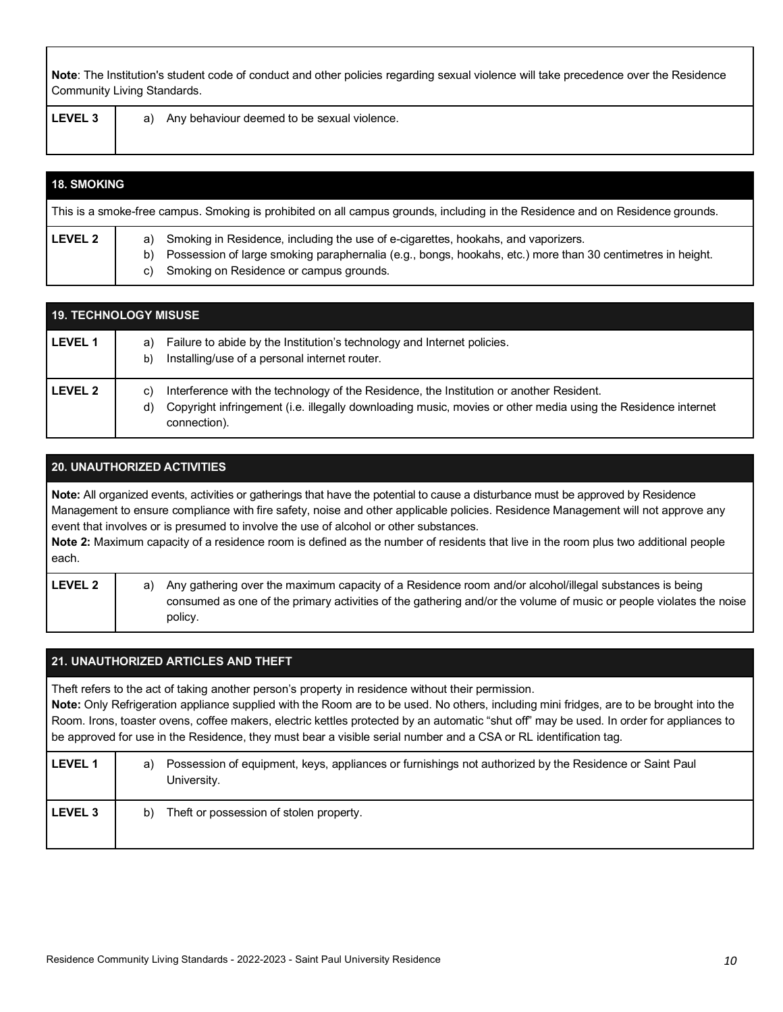**Note**: The Institution's student code of conduct and other policies regarding sexual violence will take precedence over the Residence Community Living Standards.

|  | LEVEL <sub>3</sub><br>Any behaviour deemed to be sexual violence.<br>a) |
|--|-------------------------------------------------------------------------|
|--|-------------------------------------------------------------------------|

| <b>18. SMOKING</b> |                                                                                                                                                                                                                                                           |
|--------------------|-----------------------------------------------------------------------------------------------------------------------------------------------------------------------------------------------------------------------------------------------------------|
|                    | This is a smoke-free campus. Smoking is prohibited on all campus grounds, including in the Residence and on Residence grounds.                                                                                                                            |
| LEVEL <sub>2</sub> | a) Smoking in Residence, including the use of e-cigarettes, hookahs, and vaporizers.<br>Possession of large smoking paraphernalia (e.g., bongs, hookahs, etc.) more than 30 centimetres in height.<br>b)<br>Smoking on Residence or campus grounds.<br>C) |

|                | <b>19. TECHNOLOGY MISUSE</b>                                                                                                                                                                                                        |
|----------------|-------------------------------------------------------------------------------------------------------------------------------------------------------------------------------------------------------------------------------------|
| <b>LEVEL 1</b> | Failure to abide by the Institution's technology and Internet policies.<br>a)<br>Installing/use of a personal internet router.<br>b)                                                                                                |
| <b>LEVEL 2</b> | Interference with the technology of the Residence, the Institution or another Resident.<br>C)<br>Copyright infringement (i.e. illegally downloading music, movies or other media using the Residence internet<br>d)<br>connection). |

## **20. UNAUTHORIZED ACTIVITIES**

**Note:** All organized events, activities or gatherings that have the potential to cause a disturbance must be approved by Residence Management to ensure compliance with fire safety, noise and other applicable policies. Residence Management will not approve any event that involves or is presumed to involve the use of alcohol or other substances. **Note 2:** Maximum capacity of a residence room is defined as the number of residents that live in the room plus two additional people each.

| <b>LEVEL 2</b> | a) Any gathering over the maximum capacity of a Residence room and/or alcohol/illegal substances is being          |
|----------------|--------------------------------------------------------------------------------------------------------------------|
|                | consumed as one of the primary activities of the gathering and/or the volume of music or people violates the noise |
|                | policy.                                                                                                            |

#### **21. UNAUTHORIZED ARTICLES AND THEFT**

Theft refers to the act of taking another person's property in residence without their permission.

**Note:** Only Refrigeration appliance supplied with the Room are to be used. No others, including mini fridges, are to be brought into the Room. Irons, toaster ovens, coffee makers, electric kettles protected by an automatic "shut off" may be used. In order for appliances to be approved for use in the Residence, they must bear a visible serial number and a CSA or RL identification tag.

| <b>LEVEL 1</b> | Possession of equipment, keys, appliances or furnishings not authorized by the Residence or Saint Paul<br>a)<br>University. |
|----------------|-----------------------------------------------------------------------------------------------------------------------------|
| <b>LEVEL 3</b> | Theft or possession of stolen property.<br>b)                                                                               |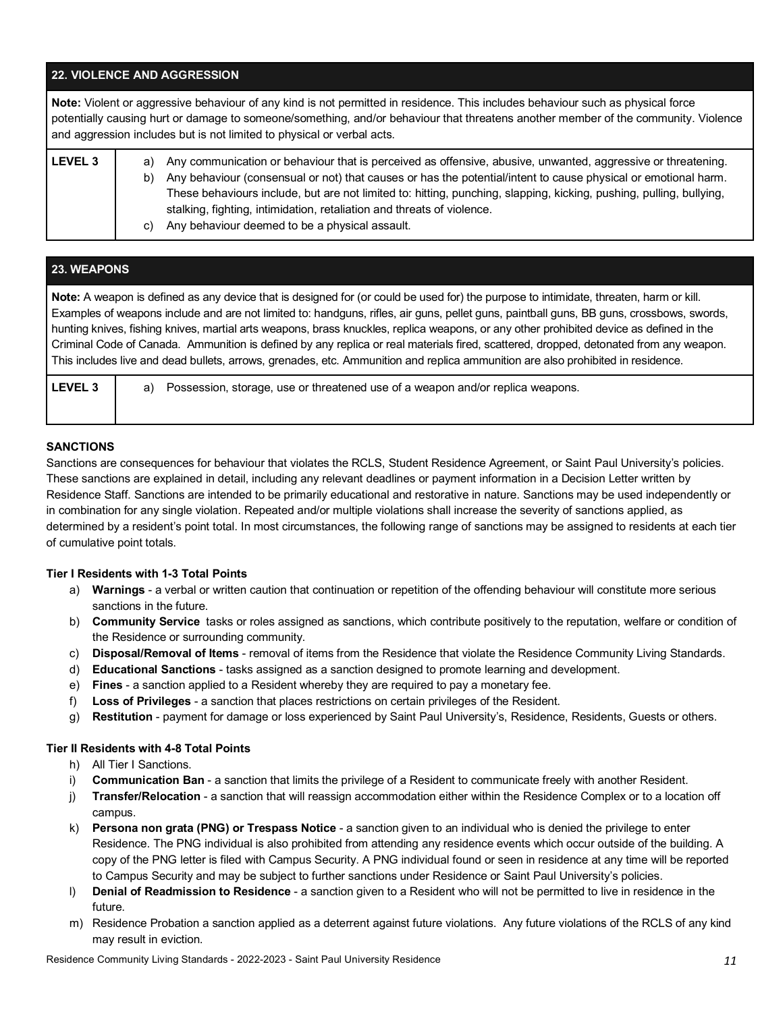#### **22. VIOLENCE AND AGGRESSION**

**Note:** Violent or aggressive behaviour of any kind is not permitted in residence. This includes behaviour such as physical force potentially causing hurt or damage to someone/something, and/or behaviour that threatens another member of the community. Violence and aggression includes but is not limited to physical or verbal acts. **LEVEL 3** a) Any communication or behaviour that is perceived as offensive, abusive, unwanted, aggressive or threatening.

| b) | Any behaviour (consensual or not) that causes or has the potential/intent to cause physical or emotional harm.      |
|----|---------------------------------------------------------------------------------------------------------------------|
|    | These behaviours include, but are not limited to: hitting, punching, slapping, kicking, pushing, pulling, bullying, |
|    | stalking, fighting, intimidation, retaliation and threats of violence.                                              |
|    | Any behaviour deemed to be a physical assault.                                                                      |

## **23. WEAPONS Note:** A weapon is defined as any device that is designed for (or could be used for) the purpose to intimidate, threaten, harm or kill. Examples of weapons include and are not limited to: handguns, rifles, air guns, pellet guns, paintball guns, BB guns, crossbows, swords, hunting knives, fishing knives, martial arts weapons, brass knuckles, replica weapons, or any other prohibited device as defined in the Criminal Code of Canada. Ammunition is defined by any replica or real materials fired, scattered, dropped, detonated from any weapon. This includes live and dead bullets, arrows, grenades, etc. Ammunition and replica ammunition are also prohibited in residence. **LEVEL 3** a) Possession, storage, use or threatened use of a weapon and/or replica weapons.

#### **SANCTIONS**

Sanctions are consequences for behaviour that violates the RCLS, Student Residence Agreement, or Saint Paul University's policies. These sanctions are explained in detail, including any relevant deadlines or payment information in a Decision Letter written by Residence Staff. Sanctions are intended to be primarily educational and restorative in nature. Sanctions may be used independently or in combination for any single violation. Repeated and/or multiple violations shall increase the severity of sanctions applied, as determined by a resident's point total. In most circumstances, the following range of sanctions may be assigned to residents at each tier of cumulative point totals.

#### **Tier I Residents with 1-3 Total Points**

- a) **Warnings** a verbal or written caution that continuation or repetition of the offending behaviour will constitute more serious sanctions in the future.
- b) **Community Service** tasks or roles assigned as sanctions, which contribute positively to the reputation, welfare or condition of the Residence or surrounding community.
- c) **Disposal/Removal of Items** removal of items from the Residence that violate the Residence Community Living Standards.
- d) **Educational Sanctions** tasks assigned as a sanction designed to promote learning and development.
- e) **Fines** a sanction applied to a Resident whereby they are required to pay a monetary fee.
- f) **Loss of Privileges** a sanction that places restrictions on certain privileges of the Resident.
- g) **Restitution** payment for damage or loss experienced by Saint Paul University's, Residence, Residents, Guests or others.

#### **Tier II Residents with 4-8 Total Points**

- h) All Tier I Sanctions.
- i) **Communication Ban** a sanction that limits the privilege of a Resident to communicate freely with another Resident.
- j) **Transfer/Relocation** a sanction that will reassign accommodation either within the Residence Complex or to a location off campus.
- k) **Persona non grata (PNG) or Trespass Notice** a sanction given to an individual who is denied the privilege to enter Residence. The PNG individual is also prohibited from attending any residence events which occur outside of the building. A copy of the PNG letter is filed with Campus Security. A PNG individual found or seen in residence at any time will be reported to Campus Security and may be subject to further sanctions under Residence or Saint Paul University's policies.
- l) **Denial of Readmission to Residence** a sanction given to a Resident who will not be permitted to live in residence in the future.
- m) Residence Probation a sanction applied as a deterrent against future violations. Any future violations of the RCLS of any kind may result in eviction.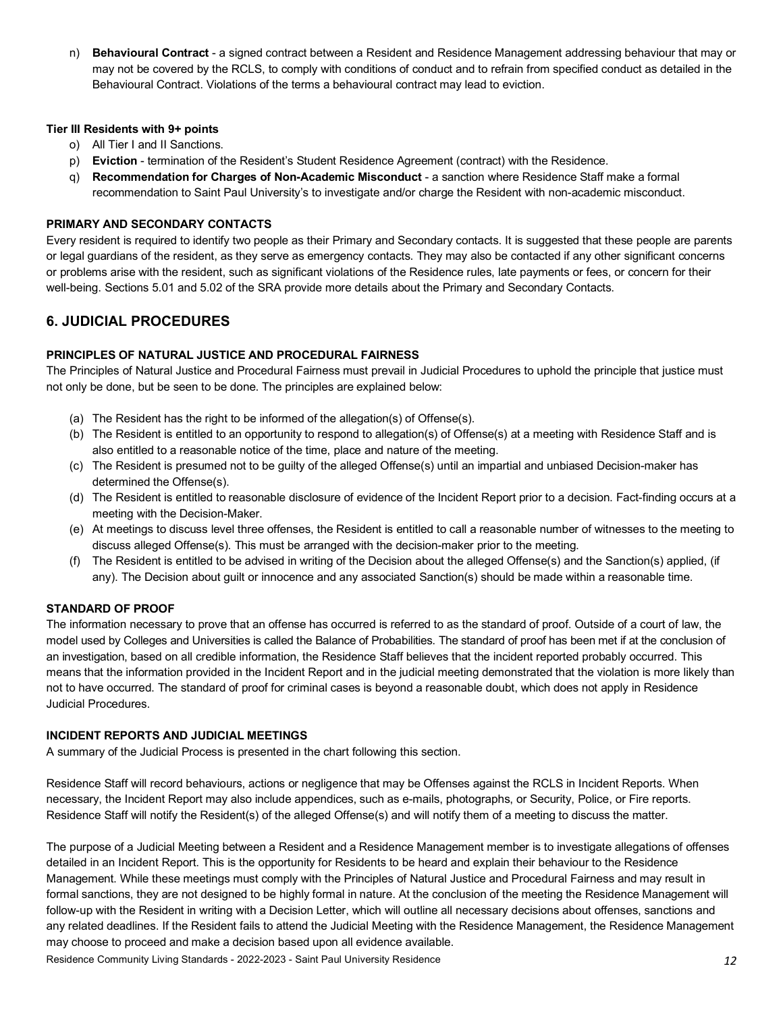n) **Behavioural Contract** - a signed contract between a Resident and Residence Management addressing behaviour that may or may not be covered by the RCLS, to comply with conditions of conduct and to refrain from specified conduct as detailed in the Behavioural Contract. Violations of the terms a behavioural contract may lead to eviction.

#### **Tier III Residents with 9+ points**

- o) All Tier I and II Sanctions.
- p) **Eviction** termination of the Resident's Student Residence Agreement (contract) with the Residence.
- q) **Recommendation for Charges of Non-Academic Misconduct** a sanction where Residence Staff make a formal recommendation to Saint Paul University's to investigate and/or charge the Resident with non-academic misconduct.

#### **PRIMARY AND SECONDARY CONTACTS**

Every resident is required to identify two people as their Primary and Secondary contacts. It is suggested that these people are parents or legal guardians of the resident, as they serve as emergency contacts. They may also be contacted if any other significant concerns or problems arise with the resident, such as significant violations of the Residence rules, late payments or fees, or concern for their well-being. Sections 5.01 and 5.02 of the SRA provide more details about the Primary and Secondary Contacts.

## **6. JUDICIAL PROCEDURES**

#### **PRINCIPLES OF NATURAL JUSTICE AND PROCEDURAL FAIRNESS**

The Principles of Natural Justice and Procedural Fairness must prevail in Judicial Procedures to uphold the principle that justice must not only be done, but be seen to be done. The principles are explained below:

- (a) The Resident has the right to be informed of the allegation(s) of Offense(s).
- (b) The Resident is entitled to an opportunity to respond to allegation(s) of Offense(s) at a meeting with Residence Staff and is also entitled to a reasonable notice of the time, place and nature of the meeting.
- (c) The Resident is presumed not to be guilty of the alleged Offense(s) until an impartial and unbiased Decision-maker has determined the Offense(s).
- (d) The Resident is entitled to reasonable disclosure of evidence of the Incident Report prior to a decision. Fact-finding occurs at a meeting with the Decision-Maker.
- (e) At meetings to discuss level three offenses, the Resident is entitled to call a reasonable number of witnesses to the meeting to discuss alleged Offense(s). This must be arranged with the decision-maker prior to the meeting.
- (f) The Resident is entitled to be advised in writing of the Decision about the alleged Offense(s) and the Sanction(s) applied, (if any). The Decision about guilt or innocence and any associated Sanction(s) should be made within a reasonable time.

#### **STANDARD OF PROOF**

The information necessary to prove that an offense has occurred is referred to as the standard of proof. Outside of a court of law, the model used by Colleges and Universities is called the Balance of Probabilities. The standard of proof has been met if at the conclusion of an investigation, based on all credible information, the Residence Staff believes that the incident reported probably occurred. This means that the information provided in the Incident Report and in the judicial meeting demonstrated that the violation is more likely than not to have occurred. The standard of proof for criminal cases is beyond a reasonable doubt, which does not apply in Residence Judicial Procedures.

#### **INCIDENT REPORTS AND JUDICIAL MEETINGS**

A summary of the Judicial Process is presented in the chart following this section.

Residence Staff will record behaviours, actions or negligence that may be Offenses against the RCLS in Incident Reports. When necessary, the Incident Report may also include appendices, such as e-mails, photographs, or Security, Police, or Fire reports. Residence Staff will notify the Resident(s) of the alleged Offense(s) and will notify them of a meeting to discuss the matter.

The purpose of a Judicial Meeting between a Resident and a Residence Management member is to investigate allegations of offenses detailed in an Incident Report. This is the opportunity for Residents to be heard and explain their behaviour to the Residence Management. While these meetings must comply with the Principles of Natural Justice and Procedural Fairness and may result in formal sanctions, they are not designed to be highly formal in nature. At the conclusion of the meeting the Residence Management will follow-up with the Resident in writing with a Decision Letter, which will outline all necessary decisions about offenses, sanctions and any related deadlines. If the Resident fails to attend the Judicial Meeting with the Residence Management, the Residence Management may choose to proceed and make a decision based upon all evidence available.

Residence Community Living Standards - 2022-2023 - Saint Paul University Residence *12*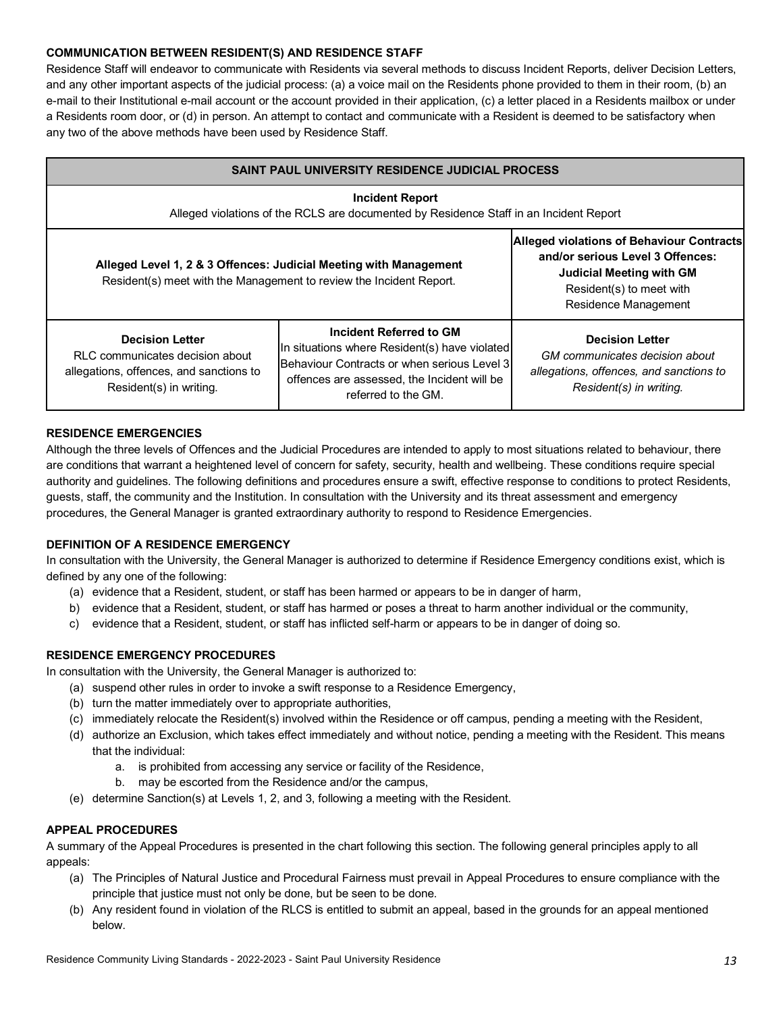#### **COMMUNICATION BETWEEN RESIDENT(S) AND RESIDENCE STAFF**

Residence Staff will endeavor to communicate with Residents via several methods to discuss Incident Reports, deliver Decision Letters, and any other important aspects of the judicial process: (a) a voice mail on the Residents phone provided to them in their room, (b) an e-mail to their Institutional e-mail account or the account provided in their application, (c) a letter placed in a Residents mailbox or under a Residents room door, or (d) in person. An attempt to contact and communicate with a Resident is deemed to be satisfactory when any two of the above methods have been used by Residence Staff.

| <b>SAINT PAUL UNIVERSITY RESIDENCE JUDICIAL PROCESS</b>                                                                                  |                                                                                                                                                                                               |                                                                                                                                |  |  |  |
|------------------------------------------------------------------------------------------------------------------------------------------|-----------------------------------------------------------------------------------------------------------------------------------------------------------------------------------------------|--------------------------------------------------------------------------------------------------------------------------------|--|--|--|
| <b>Incident Report</b><br>Alleged violations of the RCLS are documented by Residence Staff in an Incident Report                         |                                                                                                                                                                                               |                                                                                                                                |  |  |  |
| Alleged Level 1, 2 & 3 Offences: Judicial Meeting with Management<br>Resident(s) meet with the Management to review the Incident Report. | <b>Alleged violations of Behaviour Contracts</b><br>and/or serious Level 3 Offences:<br><b>Judicial Meeting with GM</b><br>Resident(s) to meet with<br>Residence Management                   |                                                                                                                                |  |  |  |
| <b>Decision Letter</b><br>RLC communicates decision about<br>allegations, offences, and sanctions to<br>Resident(s) in writing.          | Incident Referred to GM<br>In situations where Resident(s) have violated<br>Behaviour Contracts or when serious Level 3<br>offences are assessed, the Incident will be<br>referred to the GM. | <b>Decision Letter</b><br>GM communicates decision about<br>allegations, offences, and sanctions to<br>Resident(s) in writing. |  |  |  |

#### **RESIDENCE EMERGENCIES**

Although the three levels of Offences and the Judicial Procedures are intended to apply to most situations related to behaviour, there are conditions that warrant a heightened level of concern for safety, security, health and wellbeing. These conditions require special authority and guidelines. The following definitions and procedures ensure a swift, effective response to conditions to protect Residents, guests, staff, the community and the Institution. In consultation with the University and its threat assessment and emergency procedures, the General Manager is granted extraordinary authority to respond to Residence Emergencies.

#### **DEFINITION OF A RESIDENCE EMERGENCY**

In consultation with the University, the General Manager is authorized to determine if Residence Emergency conditions exist, which is defined by any one of the following:

- (a) evidence that a Resident, student, or staff has been harmed or appears to be in danger of harm,
- b) evidence that a Resident, student, or staff has harmed or poses a threat to harm another individual or the community,
- c) evidence that a Resident, student, or staff has inflicted self-harm or appears to be in danger of doing so.

#### **RESIDENCE EMERGENCY PROCEDURES**

In consultation with the University, the General Manager is authorized to:

- (a) suspend other rules in order to invoke a swift response to a Residence Emergency,
- (b) turn the matter immediately over to appropriate authorities,
- (c) immediately relocate the Resident(s) involved within the Residence or off campus, pending a meeting with the Resident,
- (d) authorize an Exclusion, which takes effect immediately and without notice, pending a meeting with the Resident. This means that the individual:
	- a. is prohibited from accessing any service or facility of the Residence,
	- b. may be escorted from the Residence and/or the campus,
- (e) determine Sanction(s) at Levels 1, 2, and 3, following a meeting with the Resident.

#### **APPEAL PROCEDURES**

A summary of the Appeal Procedures is presented in the chart following this section. The following general principles apply to all appeals:

- (a) The Principles of Natural Justice and Procedural Fairness must prevail in Appeal Procedures to ensure compliance with the principle that justice must not only be done, but be seen to be done.
- (b) Any resident found in violation of the RLCS is entitled to submit an appeal, based in the grounds for an appeal mentioned below.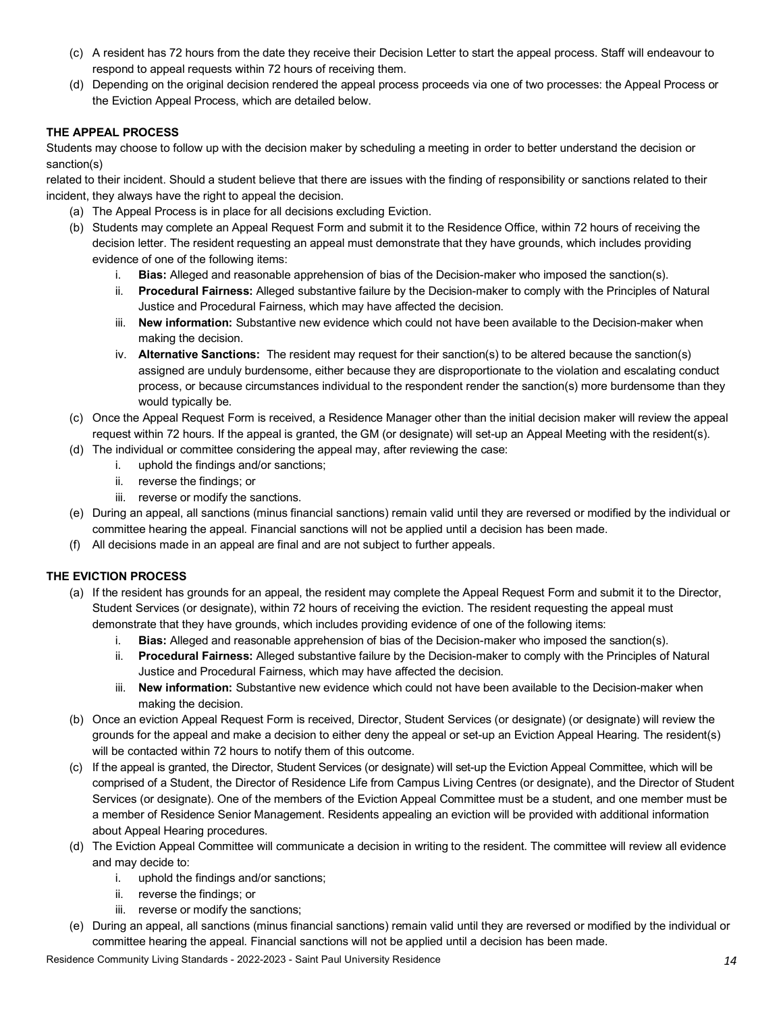- (c) A resident has 72 hours from the date they receive their Decision Letter to start the appeal process. Staff will endeavour to respond to appeal requests within 72 hours of receiving them.
- (d) Depending on the original decision rendered the appeal process proceeds via one of two processes: the Appeal Process or the Eviction Appeal Process, which are detailed below.

#### **THE APPEAL PROCESS**

Students may choose to follow up with the decision maker by scheduling a meeting in order to better understand the decision or sanction(s)

related to their incident. Should a student believe that there are issues with the finding of responsibility or sanctions related to their incident, they always have the right to appeal the decision.

- (a) The Appeal Process is in place for all decisions excluding Eviction.
- (b) Students may complete an Appeal Request Form and submit it to the Residence Office, within 72 hours of receiving the decision letter. The resident requesting an appeal must demonstrate that they have grounds, which includes providing evidence of one of the following items:
	- i. **Bias:** Alleged and reasonable apprehension of bias of the Decision-maker who imposed the sanction(s).
	- ii. **Procedural Fairness:** Alleged substantive failure by the Decision-maker to comply with the Principles of Natural Justice and Procedural Fairness, which may have affected the decision.
	- iii. **New information:** Substantive new evidence which could not have been available to the Decision-maker when making the decision.
	- iv. **Alternative Sanctions:** The resident may request for their sanction(s) to be altered because the sanction(s) assigned are unduly burdensome, either because they are disproportionate to the violation and escalating conduct process, or because circumstances individual to the respondent render the sanction(s) more burdensome than they would typically be.
- (c) Once the Appeal Request Form is received, a Residence Manager other than the initial decision maker will review the appeal request within 72 hours. If the appeal is granted, the GM (or designate) will set-up an Appeal Meeting with the resident(s).
- (d) The individual or committee considering the appeal may, after reviewing the case:
	- i. uphold the findings and/or sanctions;
	- ii. reverse the findings; or
	- iii. reverse or modify the sanctions.
- (e) During an appeal, all sanctions (minus financial sanctions) remain valid until they are reversed or modified by the individual or committee hearing the appeal. Financial sanctions will not be applied until a decision has been made.
- (f) All decisions made in an appeal are final and are not subject to further appeals.

## **THE EVICTION PROCESS**

- (a) If the resident has grounds for an appeal, the resident may complete the Appeal Request Form and submit it to the Director, Student Services (or designate), within 72 hours of receiving the eviction. The resident requesting the appeal must demonstrate that they have grounds, which includes providing evidence of one of the following items:
	- i. **Bias:** Alleged and reasonable apprehension of bias of the Decision-maker who imposed the sanction(s).
	- ii. **Procedural Fairness:** Alleged substantive failure by the Decision-maker to comply with the Principles of Natural Justice and Procedural Fairness, which may have affected the decision.
	- iii. **New information:** Substantive new evidence which could not have been available to the Decision-maker when making the decision.
- (b) Once an eviction Appeal Request Form is received, Director, Student Services (or designate) (or designate) will review the grounds for the appeal and make a decision to either deny the appeal or set-up an Eviction Appeal Hearing. The resident(s) will be contacted within 72 hours to notify them of this outcome.
- (c) If the appeal is granted, the Director, Student Services (or designate) will set-up the Eviction Appeal Committee, which will be comprised of a Student, the Director of Residence Life from Campus Living Centres (or designate), and the Director of Student Services (or designate). One of the members of the Eviction Appeal Committee must be a student, and one member must be a member of Residence Senior Management. Residents appealing an eviction will be provided with additional information about Appeal Hearing procedures.
- (d) The Eviction Appeal Committee will communicate a decision in writing to the resident. The committee will review all evidence and may decide to:
	- i. uphold the findings and/or sanctions;
	- ii. reverse the findings; or
	- iii. reverse or modify the sanctions;
- (e) During an appeal, all sanctions (minus financial sanctions) remain valid until they are reversed or modified by the individual or committee hearing the appeal. Financial sanctions will not be applied until a decision has been made.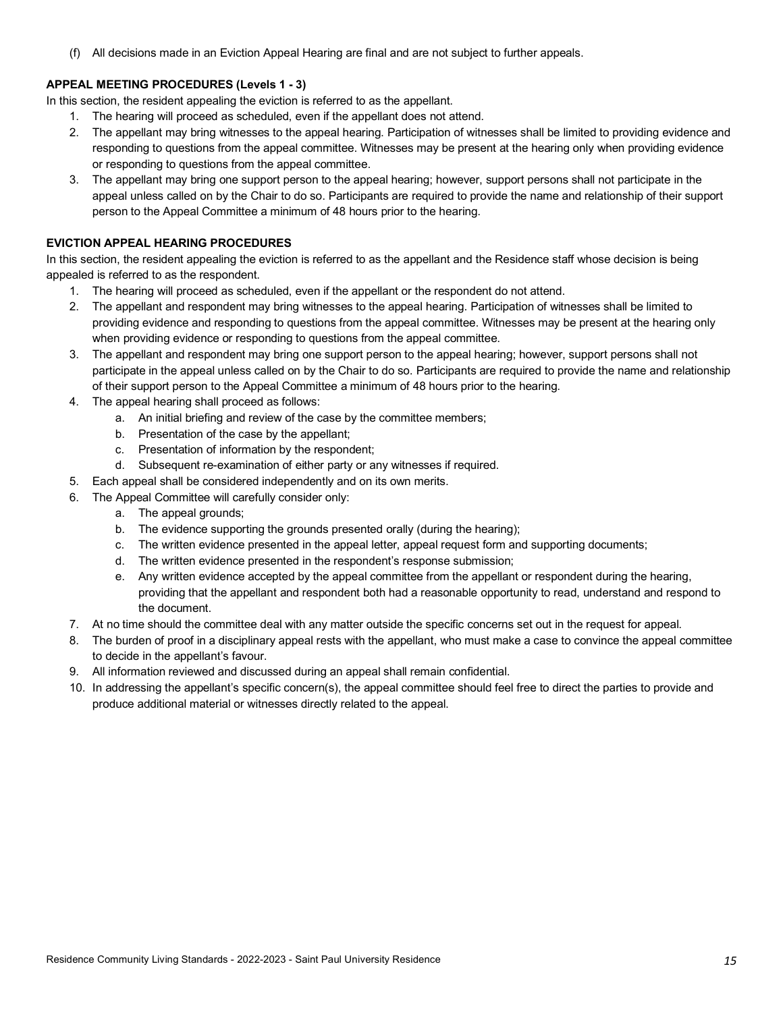(f) All decisions made in an Eviction Appeal Hearing are final and are not subject to further appeals.

#### **APPEAL MEETING PROCEDURES (Levels 1 - 3)**

In this section, the resident appealing the eviction is referred to as the appellant.

- 1. The hearing will proceed as scheduled, even if the appellant does not attend.
- 2. The appellant may bring witnesses to the appeal hearing. Participation of witnesses shall be limited to providing evidence and responding to questions from the appeal committee. Witnesses may be present at the hearing only when providing evidence or responding to questions from the appeal committee.
- 3. The appellant may bring one support person to the appeal hearing; however, support persons shall not participate in the appeal unless called on by the Chair to do so. Participants are required to provide the name and relationship of their support person to the Appeal Committee a minimum of 48 hours prior to the hearing.

#### **EVICTION APPEAL HEARING PROCEDURES**

In this section, the resident appealing the eviction is referred to as the appellant and the Residence staff whose decision is being appealed is referred to as the respondent.

- 1. The hearing will proceed as scheduled, even if the appellant or the respondent do not attend.
- 2. The appellant and respondent may bring witnesses to the appeal hearing. Participation of witnesses shall be limited to providing evidence and responding to questions from the appeal committee. Witnesses may be present at the hearing only when providing evidence or responding to questions from the appeal committee.
- 3. The appellant and respondent may bring one support person to the appeal hearing; however, support persons shall not participate in the appeal unless called on by the Chair to do so. Participants are required to provide the name and relationship of their support person to the Appeal Committee a minimum of 48 hours prior to the hearing.
- 4. The appeal hearing shall proceed as follows:
	- a. An initial briefing and review of the case by the committee members;
	- b. Presentation of the case by the appellant;
	- c. Presentation of information by the respondent;
	- d. Subsequent re-examination of either party or any witnesses if required.
- 5. Each appeal shall be considered independently and on its own merits.
- 6. The Appeal Committee will carefully consider only:
	- a. The appeal grounds;
	- b. The evidence supporting the grounds presented orally (during the hearing);
	- c. The written evidence presented in the appeal letter, appeal request form and supporting documents;
	- d. The written evidence presented in the respondent's response submission;
	- e. Any written evidence accepted by the appeal committee from the appellant or respondent during the hearing, providing that the appellant and respondent both had a reasonable opportunity to read, understand and respond to the document.
- 7. At no time should the committee deal with any matter outside the specific concerns set out in the request for appeal.
- 8. The burden of proof in a disciplinary appeal rests with the appellant, who must make a case to convince the appeal committee to decide in the appellant's favour.
- 9. All information reviewed and discussed during an appeal shall remain confidential.
- 10. In addressing the appellant's specific concern(s), the appeal committee should feel free to direct the parties to provide and produce additional material or witnesses directly related to the appeal.